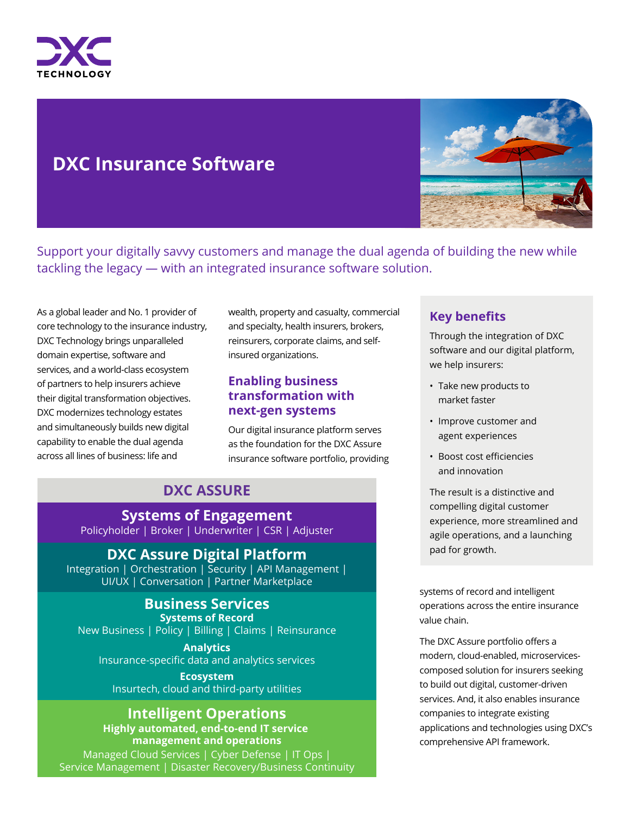

# **DXC Insurance Software**



Support your digitally savvy customers and manage the dual agenda of building the new while tackling the legacy — with an integrated insurance software solution.

As a global leader and No. 1 provider of core technology to the insurance industry, DXC Technology brings unparalleled domain expertise, software and services, and a world-class ecosystem of partners to help insurers achieve their digital transformation objectives. DXC modernizes technology estates and simultaneously builds new digital capability to enable the dual agenda across all lines of business: life and

wealth, property and casualty, commercial and specialty, health insurers, brokers, reinsurers, corporate claims, and selfinsured organizations.

### **Enabling business transformation with next-gen systems**

Our digital insurance platform serves as the foundation for the DXC Assure insurance software portfolio, providing

## **DXC ASSURE**

**Systems of Engagement** Policyholder | Broker | Underwriter | CSR | Adjuster

## **DXC Assure Digital Platform**

Integration | Orchestration | Security | API Management | UI/UX | Conversation | Partner Marketplace

#### **Business Services Systems of Record**

New Business | Policy | Billing | Claims | Reinsurance

**Analytics** Insurance-specific data and analytics services

**Ecosystem** Insurtech, cloud and third-party utilities

## **Intelligent Operations**

**Highly automated, end-to-end IT service management and operations** Managed Cloud Services | Cyber Defense | IT Ops | Service Management | Disaster Recovery/Business Continuity

### **Key benefits**

Through the integration of DXC software and our digital platform, we help insurers:

- Take new products to market faster
- Improve customer and agent experiences
- Boost cost efficiencies and innovation

The result is a distinctive and compelling digital customer experience, more streamlined and agile operations, and a launching pad for growth.

systems of record and intelligent operations across the entire insurance value chain.

The DXC Assure portfolio offers a modern, cloud-enabled, microservicescomposed solution for insurers seeking to build out digital, customer-driven services. And, it also enables insurance companies to integrate existing applications and technologies using DXC's comprehensive API framework.